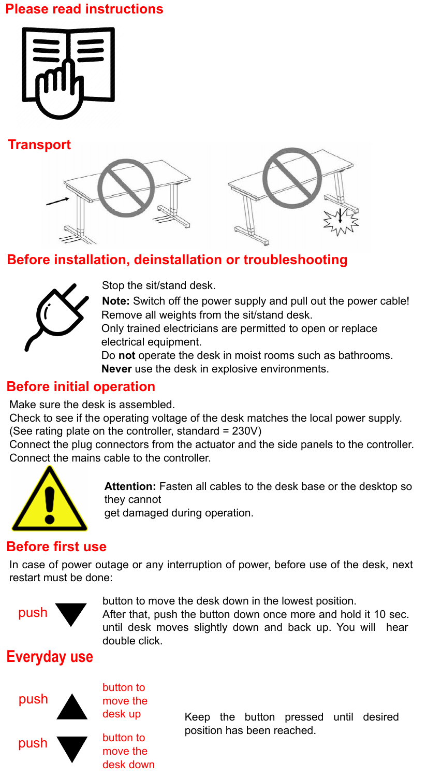### **Please read instructions**









# **Before installation, deinstallation or troubleshooting**



Stop the sit/stand desk.

**Note:** Switch off the power supply and pull out the power cable! Remove all weights from the sit/stand desk.

Only trained electricians are permitted to open or replace electrical equipment.

Do **not** operate the desk in moist rooms such as bathrooms. **Never** use the desk in explosive environments.

### **Before initial operation**

Make sure the desk is assembled.

Check to see if the operating voltage of the desk matches the local power supply. (See rating plate on the controller, standard = 230V)

Connect the plug connectors from the actuator and the side panels to the controller. Connect the mains cable to the controller.



**Attention:** Fasten all cables to the desk base or the desktop so they cannot

get damaged during operation.

### **Before first use**

In case of power outage or any interruption of power, before use of the desk, next restart must be done:



button to move the desk down in the lowest position.

After that, push the button down once more and hold it 10 sec. until desk moves slightly down and back up. You will hear double click.

# **Everyday use**



button to move the desk up button to

> move the desk down

Keep the button pressed until desired position has been reached.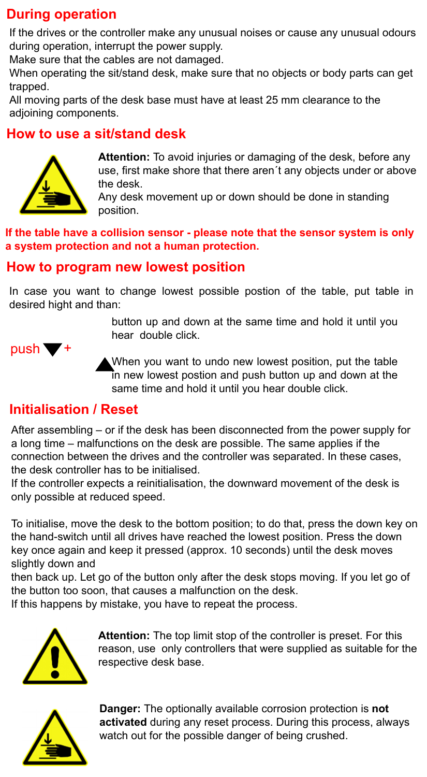### **During operation**

If the drives or the controller make any unusual noises or cause any unusual odours during operation, interrupt the power supply.

Make sure that the cables are not damaged.

When operating the sit/stand desk, make sure that no objects or body parts can get trapped.

All moving parts of the desk base must have at least 25 mm clearance to the adjoining components.

### **How to use a sit/stand desk**



**Attention:** To avoid injuries or damaging of the desk, before any use, first make shore that there aren´t any objects under or above the desk.

Any desk movement up or down should be done in standing position.

**If the table have a collision sensor - please note that the sensor system is only a system protection and not a human protection.**

#### **How to program new lowest position**

In case you want to change lowest possible postion of the table, put table in desired hight and than:

> button up and down at the same time and hold it until you hear double click.



When you want to undo new lowest position, put the table in new lowest postion and push button up and down at the same time and hold it until you hear double click.

### **Initialisation / Reset**

After assembling – or if the desk has been disconnected from the power supply for a long time – malfunctions on the desk are possible. The same applies if the connection between the drives and the controller was separated. In these cases, the desk controller has to be initialised.

If the controller expects a reinitialisation, the downward movement of the desk is only possible at reduced speed.

To initialise, move the desk to the bottom position; to do that, press the down key on the hand-switch until all drives have reached the lowest position. Press the down key once again and keep it pressed (approx. 10 seconds) until the desk moves slightly down and

then back up. Let go of the button only after the desk stops moving. If you let go of the button too soon, that causes a malfunction on the desk.

If this happens by mistake, you have to repeat the process.



**Attention:** The top limit stop of the controller is preset. For this reason, use only controllers that were supplied as suitable for the respective desk base.



**Danger:** The optionally available corrosion protection is **not activated** during any reset process. During this process, always watch out for the possible danger of being crushed.